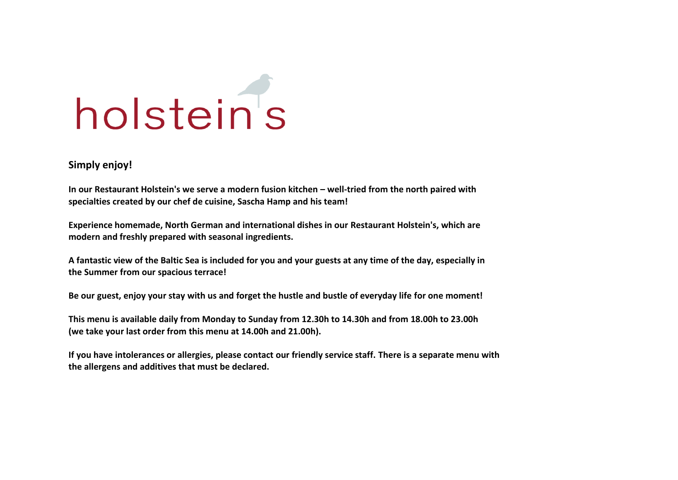

#### **Simply enjoy!**

**In our Restaurant Holstein's we serve a modern fusion kitchen – well-tried from the north paired with specialties created by our chef de cuisine, Sascha Hamp and his team!**

**Experience homemade, North German and international dishes in our Restaurant Holstein's, which are modern and freshly prepared with seasonal ingredients.**

**A fantastic view of the Baltic Sea is included for you and your guests at any time of the day, especially in the Summer from our spacious terrace!**

**Be our guest, enjoy your stay with us and forget the hustle and bustle of everyday life for one moment!**

**This menu is available daily from Monday to Sunday from 12.30h to 14.30h and from 18.00h to 23.00h (we take your last order from this menu at 14.00h and 21.00h).** 

**If you have intolerances or allergies, please contact our friendly service staff. There is a separate menu with the allergens and additives that must be declared.**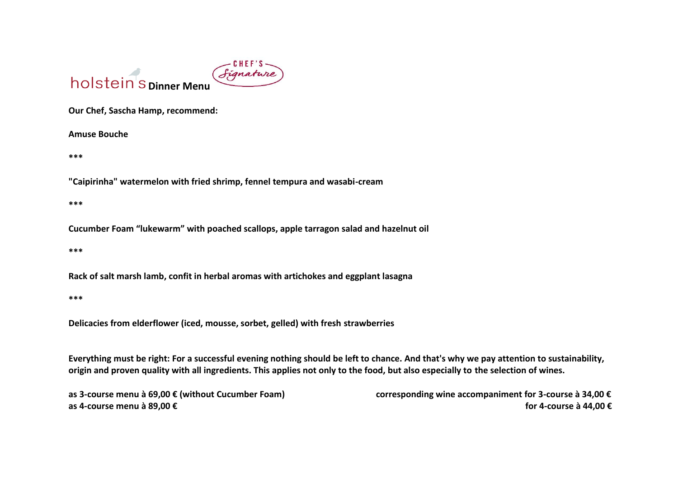

**Our Chef, Sascha Hamp, recommend:**

**Amuse Bouche** 

**\*\*\***

**"Caipirinha" watermelon with fried shrimp, fennel tempura and wasabi-cream**

**\*\*\***

**Cucumber Foam "lukewarm" with poached scallops, apple tarragon salad and hazelnut oil**

**\*\*\***

**Rack of salt marsh lamb, confit in herbal aromas with artichokes and eggplant lasagna**

**\*\*\***

**Delicacies from elderflower (iced, mousse, sorbet, gelled) with fresh strawberries**

**Everything must be right: For a successful evening nothing should be left to chance. And that's why we pay attention to sustainability, origin and proven quality with all ingredients. This applies not only to the food, but also especially to the selection of wines.**

**as 3-course menu à 69,00 € (without Cucumber Foam) corresponding wine accompaniment for 3-course à 34,00 € as 4-course menu à 89,00 € for 4-course à 44,00 €**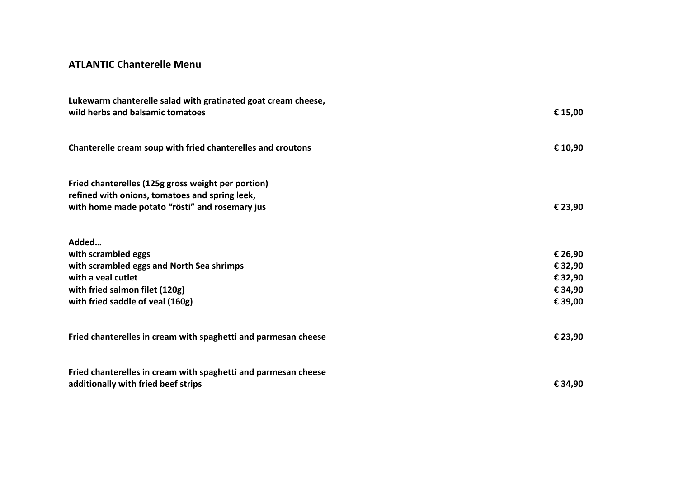## **ATLANTIC Chanterelle Menu**

| Lukewarm chanterelle salad with gratinated goat cream cheese,<br>wild herbs and balsamic tomatoes                                                      | € 15,00 |  |
|--------------------------------------------------------------------------------------------------------------------------------------------------------|---------|--|
| Chanterelle cream soup with fried chanterelles and croutons                                                                                            | € 10,90 |  |
| Fried chanterelles (125g gross weight per portion)<br>refined with onions, tomatoes and spring leek,<br>with home made potato "rösti" and rosemary jus | € 23,90 |  |
| Added<br>with scrambled eggs                                                                                                                           | € 26,90 |  |
| with scrambled eggs and North Sea shrimps                                                                                                              | € 32,90 |  |
| with a yeal cutlet                                                                                                                                     | € 32,90 |  |
| with fried salmon filet (120g)                                                                                                                         | € 34,90 |  |
| with fried saddle of veal (160g)                                                                                                                       | € 39,00 |  |
| Fried chanterelles in cream with spaghetti and parmesan cheese                                                                                         | € 23,90 |  |
| Fried chanterelles in cream with spaghetti and parmesan cheese<br>additionally with fried beef strips                                                  | € 34,90 |  |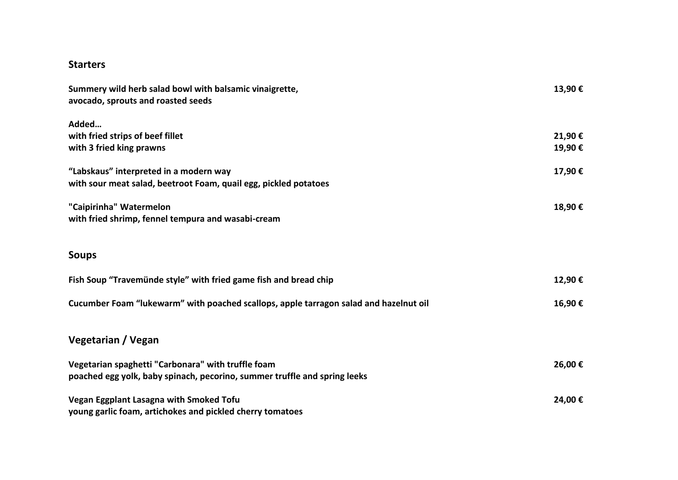#### **Starters**

| Summery wild herb salad bowl with balsamic vinaigrette,<br>avocado, sprouts and roasted seeds              | 13,90€ |
|------------------------------------------------------------------------------------------------------------|--------|
| Added<br>with fried strips of beef fillet                                                                  | 21,90€ |
| with 3 fried king prawns                                                                                   | 19,90€ |
| "Labskaus" interpreted in a modern way<br>with sour meat salad, beetroot Foam, quail egg, pickled potatoes | 17,90€ |
| "Caipirinha" Watermelon<br>with fried shrimp, fennel tempura and wasabi-cream                              | 18,90€ |
| <b>Soups</b>                                                                                               |        |
| Fish Soup "Travemünde style" with fried game fish and bread chip                                           | 12,90€ |
| Cucumber Foam "lukewarm" with poached scallops, apple tarragon salad and hazelnut oil                      | 16,90€ |
| Vegetarian / Vegan                                                                                         |        |
| Vegetarian spaghetti "Carbonara" with truffle foam                                                         | 26,00€ |
| poached egg yolk, baby spinach, pecorino, summer truffle and spring leeks                                  |        |
| Vegan Eggplant Lasagna with Smoked Tofu                                                                    | 24,00€ |
| young garlic foam, artichokes and pickled cherry tomatoes                                                  |        |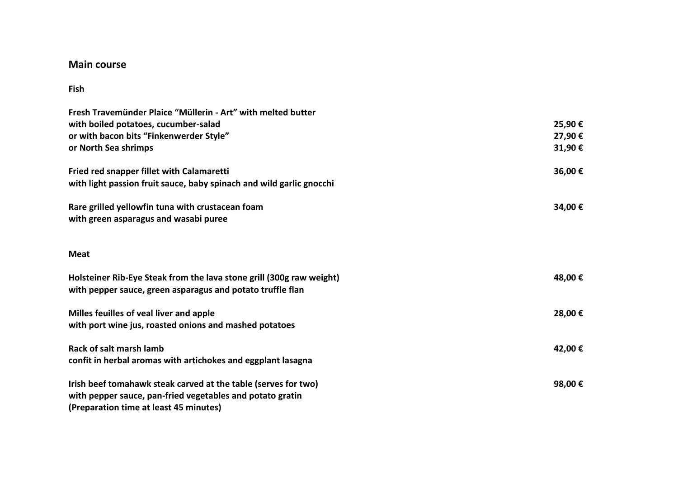#### **Main course**

#### **Fish**

| Fresh Travemünder Plaice "Müllerin - Art" with melted butter                                                                                                          |         |
|-----------------------------------------------------------------------------------------------------------------------------------------------------------------------|---------|
| with boiled potatoes, cucumber-salad                                                                                                                                  | 25,90€  |
| or with bacon bits "Finkenwerder Style"                                                                                                                               | 27,90€  |
| or North Sea shrimps                                                                                                                                                  | 31,90€  |
| Fried red snapper fillet with Calamaretti                                                                                                                             | 36,00€  |
| with light passion fruit sauce, baby spinach and wild garlic gnocchi                                                                                                  |         |
| Rare grilled yellowfin tuna with crustacean foam<br>with green asparagus and wasabi puree                                                                             | 34,00€  |
| <b>Meat</b>                                                                                                                                                           |         |
| Holsteiner Rib-Eye Steak from the lava stone grill (300g raw weight)<br>with pepper sauce, green asparagus and potato truffle flan                                    | 48,00 € |
| Milles feuilles of veal liver and apple<br>with port wine jus, roasted onions and mashed potatoes                                                                     | 28,00€  |
| Rack of salt marsh lamb<br>confit in herbal aromas with artichokes and eggplant lasagna                                                                               | 42,00 € |
| Irish beef tomahawk steak carved at the table (serves for two)<br>with pepper sauce, pan-fried vegetables and potato gratin<br>(Preparation time at least 45 minutes) | 98,00€  |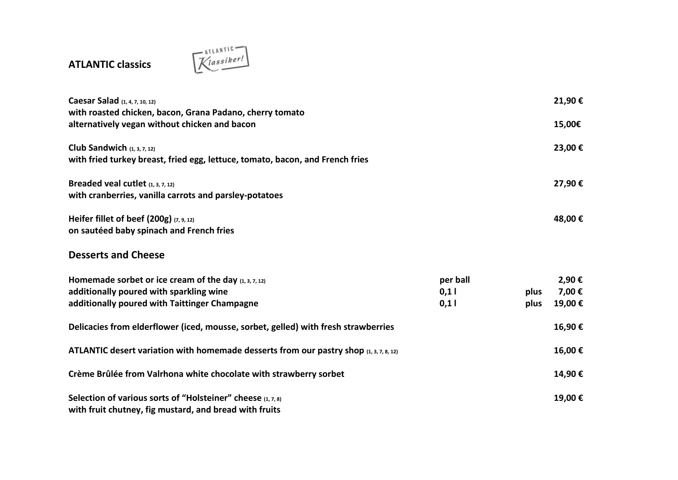# **ATLANTIC classics**



| Caesar Salad (1, 4, 7, 10, 12)<br>with roasted chicken, bacon, Grana Padano, cherry tomato                     |          |      | 21,90€ |
|----------------------------------------------------------------------------------------------------------------|----------|------|--------|
| alternatively vegan without chicken and bacon                                                                  |          |      | 15,00€ |
| Club Sandwich $(1, 3, 7, 12)$<br>with fried turkey breast, fried egg, lettuce, tomato, bacon, and French fries |          |      | 23,00€ |
| Breaded veal cutlet $(1, 3, 7, 12)$<br>with cranberries, vanilla carrots and parsley-potatoes                  |          |      | 27,90€ |
| Heifer fillet of beef (200g) (7, 9, 12)<br>on sautéed baby spinach and French fries                            |          |      | 48,00€ |
| <b>Desserts and Cheese</b>                                                                                     |          |      |        |
| Homemade sorbet or ice cream of the day $(1, 3, 7, 12)$                                                        | per ball |      | 2,90€  |
| additionally poured with sparkling wine                                                                        | 0,11     | plus | 7,00€  |
| additionally poured with Taittinger Champagne                                                                  | 0,11     | plus | 19,00€ |
| Delicacies from elderflower (iced, mousse, sorbet, gelled) with fresh strawberries                             |          |      | 16,90€ |
| ATLANTIC desert variation with homemade desserts from our pastry shop $(1, 3, 7, 8, 12)$                       |          |      | 16,00€ |
| Crème Brûlée from Valrhona white chocolate with strawberry sorbet                                              |          |      | 14,90€ |
| Selection of various sorts of "Holsteiner" cheese (1, 7, 8)                                                    |          |      | 19,00€ |
| with fruit chutney, fig mustard, and bread with fruits                                                         |          |      |        |